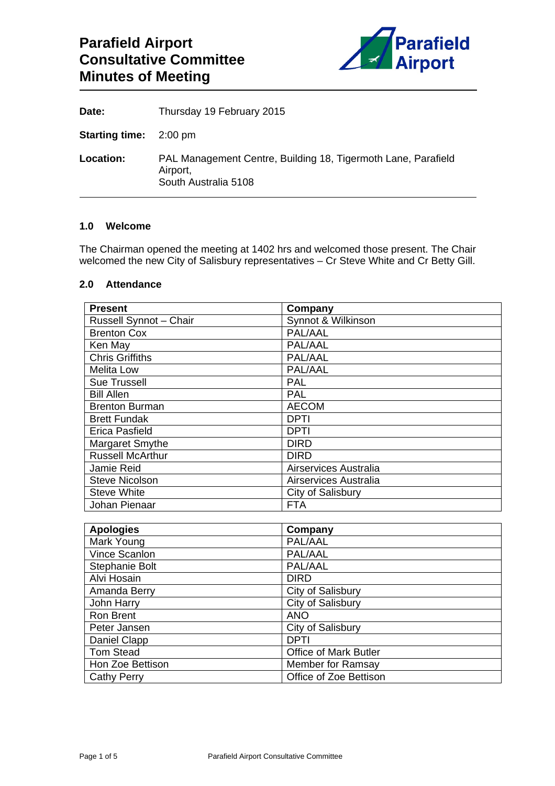

| Date:                         | Thursday 19 February 2015                                                                         |
|-------------------------------|---------------------------------------------------------------------------------------------------|
| <b>Starting time:</b> 2:00 pm |                                                                                                   |
| Location:                     | PAL Management Centre, Building 18, Tigermoth Lane, Parafield<br>Airport,<br>South Australia 5108 |

#### **1.0 Welcome**

The Chairman opened the meeting at 1402 hrs and welcomed those present. The Chair welcomed the new City of Salisbury representatives – Cr Steve White and Cr Betty Gill.

#### **2.0 Attendance**

| <b>Present</b>          | Company               |
|-------------------------|-----------------------|
| Russell Synnot - Chair  | Synnot & Wilkinson    |
| <b>Brenton Cox</b>      | PAL/AAL               |
| Ken May                 | PAL/AAL               |
| <b>Chris Griffiths</b>  | PAL/AAL               |
| <b>Melita Low</b>       | PAL/AAL               |
| <b>Sue Trussell</b>     | <b>PAL</b>            |
| <b>Bill Allen</b>       | <b>PAL</b>            |
| <b>Brenton Burman</b>   | <b>AECOM</b>          |
| <b>Brett Fundak</b>     | <b>DPTI</b>           |
| Erica Pasfield          | DPTI                  |
| Margaret Smythe         | <b>DIRD</b>           |
| <b>Russell McArthur</b> | <b>DIRD</b>           |
| Jamie Reid              | Airservices Australia |
| <b>Steve Nicolson</b>   | Airservices Australia |
| <b>Steve White</b>      | City of Salisbury     |
| Johan Pienaar           | FTA                   |

| <b>Apologies</b>   | Company                      |
|--------------------|------------------------------|
| Mark Young         | PAL/AAL                      |
| Vince Scanlon      | PAL/AAL                      |
| Stephanie Bolt     | PAL/AAL                      |
| Alvi Hosain        | <b>DIRD</b>                  |
| Amanda Berry       | City of Salisbury            |
| John Harry         | City of Salisbury            |
| <b>Ron Brent</b>   | <b>ANO</b>                   |
| Peter Jansen       | City of Salisbury            |
| Daniel Clapp       | <b>DPTI</b>                  |
| <b>Tom Stead</b>   | <b>Office of Mark Butler</b> |
| Hon Zoe Bettison   | <b>Member for Ramsay</b>     |
| <b>Cathy Perry</b> | Office of Zoe Bettison       |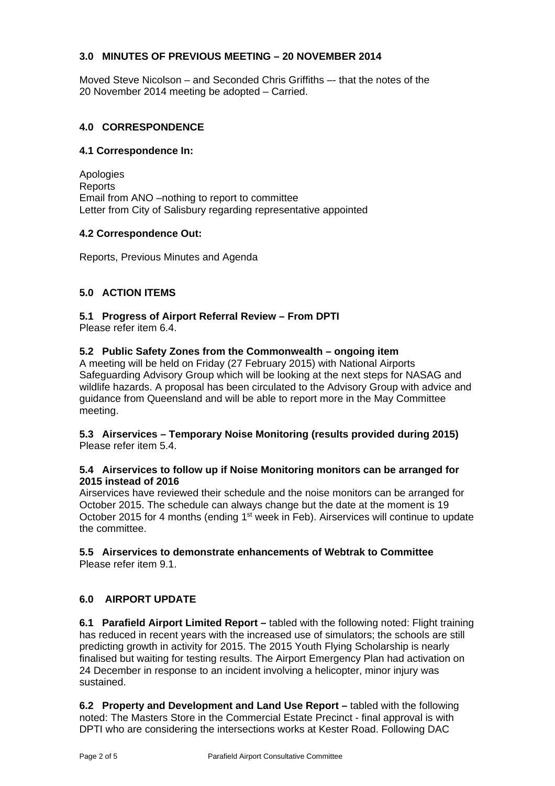### **3.0 MINUTES OF PREVIOUS MEETING – 20 NOVEMBER 2014**

Moved Steve Nicolson – and Seconded Chris Griffiths –- that the notes of the 20 November 2014 meeting be adopted – Carried.

### **4.0 CORRESPONDENCE**

#### **4.1 Correspondence In:**

Apologies **Reports** Email from ANO –nothing to report to committee Letter from City of Salisbury regarding representative appointed

#### **4.2 Correspondence Out:**

Reports, Previous Minutes and Agenda

### **5.0 ACTION ITEMS**

# **5.1 Progress of Airport Referral Review – From DPTI**

Please refer item 6.4.

### **5.2 Public Safety Zones from the Commonwealth – ongoing item**

A meeting will be held on Friday (27 February 2015) with National Airports Safeguarding Advisory Group which will be looking at the next steps for NASAG and wildlife hazards. A proposal has been circulated to the Advisory Group with advice and guidance from Queensland and will be able to report more in the May Committee meeting.

### **5.3 Airservices – Temporary Noise Monitoring (results provided during 2015)**  Please refer item 5.4.

### **5.4 Airservices to follow up if Noise Monitoring monitors can be arranged for 2015 instead of 2016**

Airservices have reviewed their schedule and the noise monitors can be arranged for October 2015. The schedule can always change but the date at the moment is 19 October 2015 for 4 months (ending 1<sup>st</sup> week in Feb). Airservices will continue to update the committee.

#### **5.5 Airservices to demonstrate enhancements of Webtrak to Committee**  Please refer item 9.1.

### **6.0 AIRPORT UPDATE**

**6.1 Parafield Airport Limited Report –** tabled with the following noted: Flight training has reduced in recent years with the increased use of simulators; the schools are still predicting growth in activity for 2015. The 2015 Youth Flying Scholarship is nearly finalised but waiting for testing results. The Airport Emergency Plan had activation on 24 December in response to an incident involving a helicopter, minor injury was sustained.

**6.2 Property and Development and Land Use Report –** tabled with the following noted: The Masters Store in the Commercial Estate Precinct - final approval is with DPTI who are considering the intersections works at Kester Road. Following DAC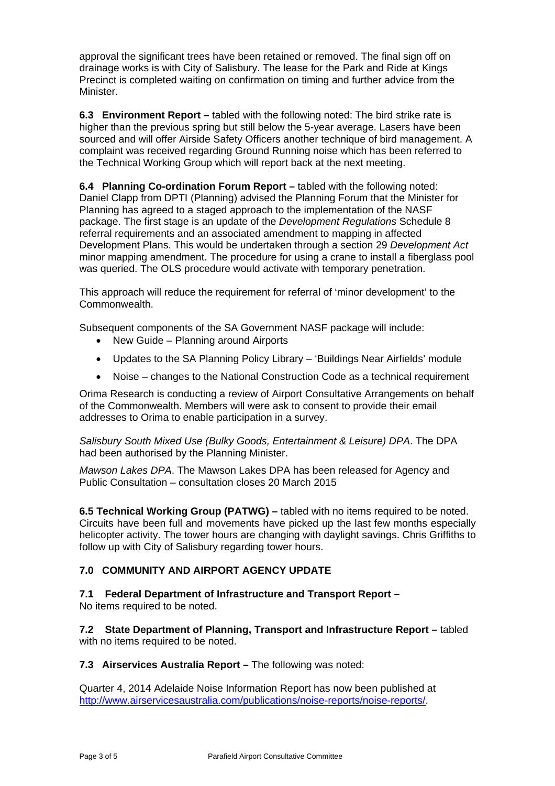approval the significant trees have been retained or removed. The final sign off on drainage works is with City of Salisbury. The lease for the Park and Ride at Kings Precinct is completed waiting on confirmation on timing and further advice from the Minister.

**6.3 Environment Report –** tabled with the following noted: The bird strike rate is higher than the previous spring but still below the 5-year average. Lasers have been sourced and will offer Airside Safety Officers another technique of bird management. A complaint was received regarding Ground Running noise which has been referred to the Technical Working Group which will report back at the next meeting.

**6.4 Planning Co-ordination Forum Report –** tabled with the following noted: Daniel Clapp from DPTI (Planning) advised the Planning Forum that the Minister for Planning has agreed to a staged approach to the implementation of the NASF package. The first stage is an update of the *Development Regulations* Schedule 8 referral requirements and an associated amendment to mapping in affected Development Plans. This would be undertaken through a section 29 *Development Act*  minor mapping amendment. The procedure for using a crane to install a fiberglass pool was queried. The OLS procedure would activate with temporary penetration.

This approach will reduce the requirement for referral of 'minor development' to the Commonwealth.

Subsequent components of the SA Government NASF package will include:

- New Guide Planning around Airports
- Updates to the SA Planning Policy Library 'Buildings Near Airfields' module
- Noise changes to the National Construction Code as a technical requirement

Orima Research is conducting a review of Airport Consultative Arrangements on behalf of the Commonwealth. Members will were ask to consent to provide their email addresses to Orima to enable participation in a survey.

*Salisbury South Mixed Use (Bulky Goods, Entertainment & Leisure) DPA*. The DPA had been authorised by the Planning Minister.

*Mawson Lakes DPA*. The Mawson Lakes DPA has been released for Agency and Public Consultation – consultation closes 20 March 2015

**6.5 Technical Working Group (PATWG) –** tabled with no items required to be noted. Circuits have been full and movements have picked up the last few months especially helicopter activity. The tower hours are changing with daylight savings. Chris Griffiths to follow up with City of Salisbury regarding tower hours.

### **7.0 COMMUNITY AND AIRPORT AGENCY UPDATE**

## **7.1 Federal Department of Infrastructure and Transport Report –**

No items required to be noted.

**7.2 State Department of Planning, Transport and Infrastructure Report –** tabled with no items required to be noted.

### **7.3 Airservices Australia Report –** The following was noted:

Quarter 4, 2014 Adelaide Noise Information Report has now been published at http://www.airservicesaustralia.com/publications/noise-reports/noise-reports/.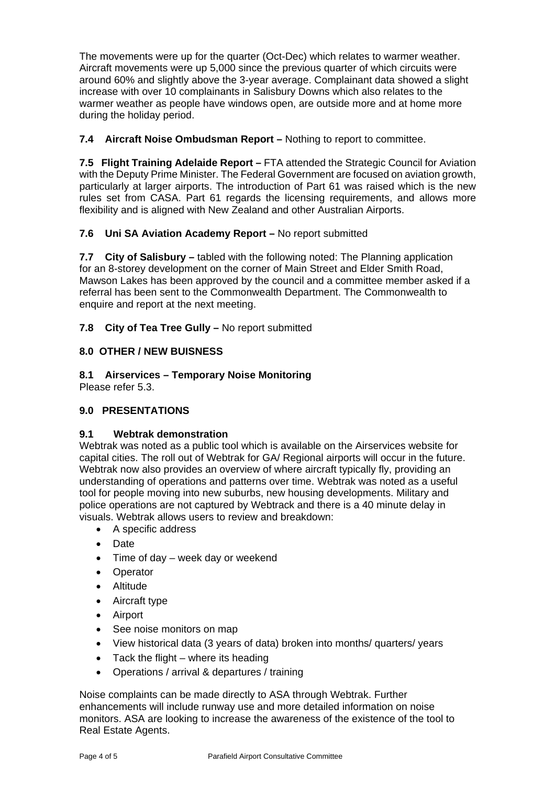The movements were up for the quarter (Oct-Dec) which relates to warmer weather. Aircraft movements were up 5,000 since the previous quarter of which circuits were around 60% and slightly above the 3-year average. Complainant data showed a slight increase with over 10 complainants in Salisbury Downs which also relates to the warmer weather as people have windows open, are outside more and at home more during the holiday period.

### **7.4 Aircraft Noise Ombudsman Report –** Nothing to report to committee.

**7.5 Flight Training Adelaide Report –** FTA attended the Strategic Council for Aviation with the Deputy Prime Minister. The Federal Government are focused on aviation growth, particularly at larger airports. The introduction of Part 61 was raised which is the new rules set from CASA. Part 61 regards the licensing requirements, and allows more flexibility and is aligned with New Zealand and other Australian Airports.

### **7.6 Uni SA Aviation Academy Report –** No report submitted

**7.7 City of Salisbury –** tabled with the following noted: The Planning application for an 8-storey development on the corner of Main Street and Elder Smith Road, Mawson Lakes has been approved by the council and a committee member asked if a referral has been sent to the Commonwealth Department. The Commonwealth to enquire and report at the next meeting.

### **7.8 City of Tea Tree Gully –** No report submitted

### **8.0 OTHER / NEW BUISNESS**

**8.1 Airservices – Temporary Noise Monitoring** 

Please refer 5.3.

## **9.0 PRESENTATIONS**

### **9.1 Webtrak demonstration**

Webtrak was noted as a public tool which is available on the Airservices website for capital cities. The roll out of Webtrak for GA/ Regional airports will occur in the future. Webtrak now also provides an overview of where aircraft typically fly, providing an understanding of operations and patterns over time. Webtrak was noted as a useful tool for people moving into new suburbs, new housing developments. Military and police operations are not captured by Webtrack and there is a 40 minute delay in visuals. Webtrak allows users to review and breakdown:

- A specific address
- Date
- Time of day week day or weekend
- Operator
- Altitude
- Aircraft type
- Airport
- See noise monitors on map
- View historical data (3 years of data) broken into months/ quarters/ years
- $\bullet$  Tack the flight where its heading
- Operations / arrival & departures / training

Noise complaints can be made directly to ASA through Webtrak. Further enhancements will include runway use and more detailed information on noise monitors. ASA are looking to increase the awareness of the existence of the tool to Real Estate Agents.